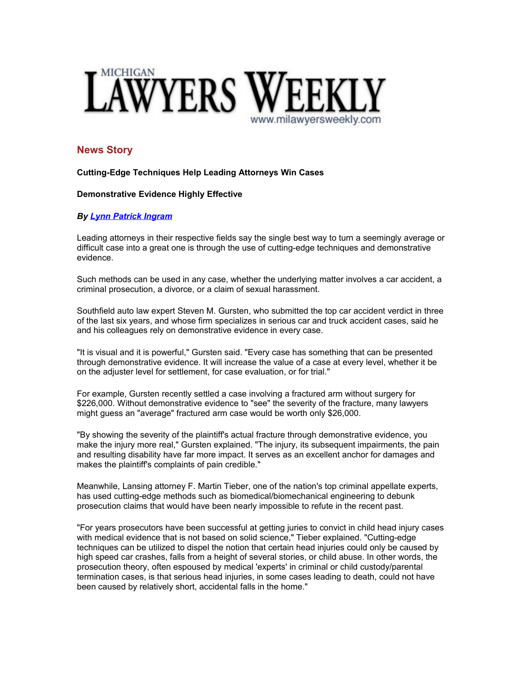

# **News Story**

### **Cutting-Edge Techniques Help Leading Attorneys Win Cases**

# **Demonstrative Evidence Highly Effective**

# *By [Lynn Patrick Ingram](mailto:lingram@mi.lawyersweekly.com)*

Leading attorneys in their respective fields say the single best way to turn a seemingly average or difficult case into a great one is through the use of cutting-edge techniques and demonstrative evidence.

Such methods can be used in any case, whether the underlying matter involves a car accident, a criminal prosecution, a divorce, or a claim of sexual harassment.

Southfield auto law expert Steven M. Gursten, who submitted the top car accident verdict in three of the last six years, and whose firm specializes in serious car and truck accident cases, said he and his colleagues rely on demonstrative evidence in every case.

"It is visual and it is powerful," Gursten said. "Every case has something that can be presented through demonstrative evidence. It will increase the value of a case at every level, whether it be on the adjuster level for settlement, for case evaluation, or for trial."

For example, Gursten recently settled a case involving a fractured arm without surgery for \$226,000. Without demonstrative evidence to "see" the severity of the fracture, many lawyers might guess an "average" fractured arm case would be worth only \$26,000.

"By showing the severity of the plaintiff's actual fracture through demonstrative evidence, you make the injury more real," Gursten explained. "The injury, its subsequent impairments, the pain and resulting disability have far more impact. It serves as an excellent anchor for damages and makes the plaintiff's complaints of pain credible."

Meanwhile, Lansing attorney F. Martin Tieber, one of the nation's top criminal appellate experts, has used cutting-edge methods such as biomedical/biomechanical engineering to debunk prosecution claims that would have been nearly impossible to refute in the recent past.

"For years prosecutors have been successful at getting juries to convict in child head injury cases with medical evidence that is not based on solid science," Tieber explained. "Cutting-edge techniques can be utilized to dispel the notion that certain head injuries could only be caused by high speed car crashes, falls from a height of several stories, or child abuse. In other words, the prosecution theory, often espoused by medical 'experts' in criminal or child custody/parental termination cases, is that serious head injuries, in some cases leading to death, could not have been caused by relatively short, accidental falls in the home."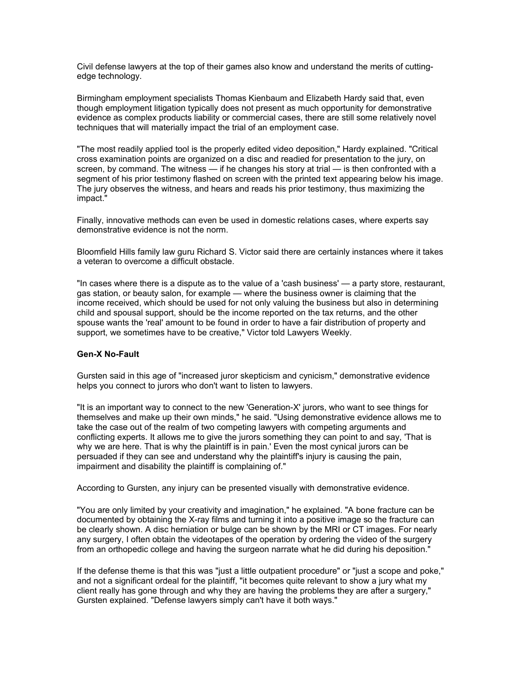Civil defense lawyers at the top of their games also know and understand the merits of cuttingedge technology.

Birmingham employment specialists Thomas Kienbaum and Elizabeth Hardy said that, even though employment litigation typically does not present as much opportunity for demonstrative evidence as complex products liability or commercial cases, there are still some relatively novel techniques that will materially impact the trial of an employment case.

"The most readily applied tool is the properly edited video deposition," Hardy explained. "Critical cross examination points are organized on a disc and readied for presentation to the jury, on screen, by command. The witness — if he changes his story at trial — is then confronted with a segment of his prior testimony flashed on screen with the printed text appearing below his image. The jury observes the witness, and hears and reads his prior testimony, thus maximizing the impact."

Finally, innovative methods can even be used in domestic relations cases, where experts say demonstrative evidence is not the norm.

Bloomfield Hills family law guru Richard S. Victor said there are certainly instances where it takes a veteran to overcome a difficult obstacle.

"In cases where there is a dispute as to the value of a 'cash business' — a party store, restaurant, gas station, or beauty salon, for example — where the business owner is claiming that the income received, which should be used for not only valuing the business but also in determining child and spousal support, should be the income reported on the tax returns, and the other spouse wants the 'real' amount to be found in order to have a fair distribution of property and support, we sometimes have to be creative," Victor told Lawyers Weekly.

### **Gen-X No-Fault**

Gursten said in this age of "increased juror skepticism and cynicism," demonstrative evidence helps you connect to jurors who don't want to listen to lawyers.

"It is an important way to connect to the new 'Generation-X' jurors, who want to see things for themselves and make up their own minds," he said. "Using demonstrative evidence allows me to take the case out of the realm of two competing lawyers with competing arguments and conflicting experts. It allows me to give the jurors something they can point to and say, 'That is why we are here. That is why the plaintiff is in pain.' Even the most cynical jurors can be persuaded if they can see and understand why the plaintiff's injury is causing the pain, impairment and disability the plaintiff is complaining of."

According to Gursten, any injury can be presented visually with demonstrative evidence.

"You are only limited by your creativity and imagination," he explained. "A bone fracture can be documented by obtaining the X-ray films and turning it into a positive image so the fracture can be clearly shown. A disc herniation or bulge can be shown by the MRI or CT images. For nearly any surgery, I often obtain the videotapes of the operation by ordering the video of the surgery from an orthopedic college and having the surgeon narrate what he did during his deposition."

If the defense theme is that this was "just a little outpatient procedure" or "just a scope and poke," and not a significant ordeal for the plaintiff, "it becomes quite relevant to show a jury what my client really has gone through and why they are having the problems they are after a surgery," Gursten explained. "Defense lawyers simply can't have it both ways."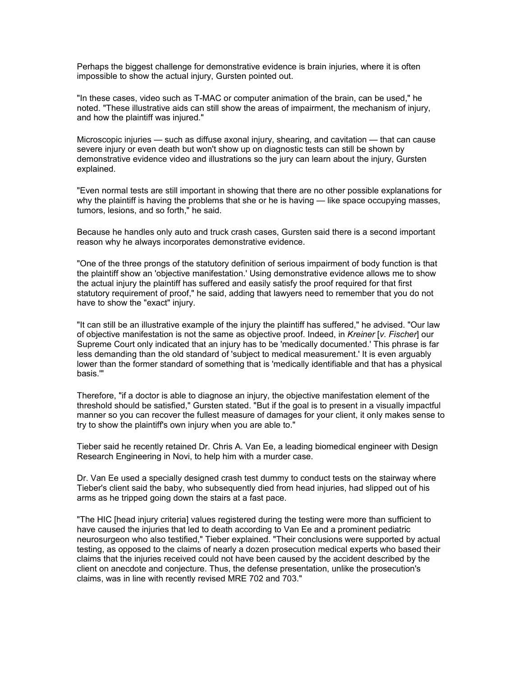Perhaps the biggest challenge for demonstrative evidence is brain injuries, where it is often impossible to show the actual injury, Gursten pointed out.

"In these cases, video such as T-MAC or computer animation of the brain, can be used," he noted. "These illustrative aids can still show the areas of impairment, the mechanism of injury, and how the plaintiff was injured."

Microscopic injuries — such as diffuse axonal injury, shearing, and cavitation — that can cause severe injury or even death but won't show up on diagnostic tests can still be shown by demonstrative evidence video and illustrations so the jury can learn about the injury, Gursten explained.

"Even normal tests are still important in showing that there are no other possible explanations for why the plaintiff is having the problems that she or he is having — like space occupying masses, tumors, lesions, and so forth," he said.

Because he handles only auto and truck crash cases, Gursten said there is a second important reason why he always incorporates demonstrative evidence.

"One of the three prongs of the statutory definition of serious impairment of body function is that the plaintiff show an 'objective manifestation.' Using demonstrative evidence allows me to show the actual injury the plaintiff has suffered and easily satisfy the proof required for that first statutory requirement of proof," he said, adding that lawyers need to remember that you do not have to show the "exact" injury.

"It can still be an illustrative example of the injury the plaintiff has suffered," he advised. "Our law of objective manifestation is not the same as objective proof. Indeed, in *Kreiner* [*v. Fischer*] our Supreme Court only indicated that an injury has to be 'medically documented.' This phrase is far less demanding than the old standard of 'subject to medical measurement.' It is even arguably lower than the former standard of something that is 'medically identifiable and that has a physical basis.'"

Therefore, "if a doctor is able to diagnose an injury, the objective manifestation element of the threshold should be satisfied," Gursten stated. "But if the goal is to present in a visually impactful manner so you can recover the fullest measure of damages for your client, it only makes sense to try to show the plaintiff's own injury when you are able to."

Tieber said he recently retained Dr. Chris A. Van Ee, a leading biomedical engineer with Design Research Engineering in Novi, to help him with a murder case.

Dr. Van Ee used a specially designed crash test dummy to conduct tests on the stairway where Tieber's client said the baby, who subsequently died from head injuries, had slipped out of his arms as he tripped going down the stairs at a fast pace.

"The HIC [head injury criteria] values registered during the testing were more than sufficient to have caused the injuries that led to death according to Van Ee and a prominent pediatric neurosurgeon who also testified," Tieber explained. "Their conclusions were supported by actual testing, as opposed to the claims of nearly a dozen prosecution medical experts who based their claims that the injuries received could not have been caused by the accident described by the client on anecdote and conjecture. Thus, the defense presentation, unlike the prosecution's claims, was in line with recently revised MRE 702 and 703."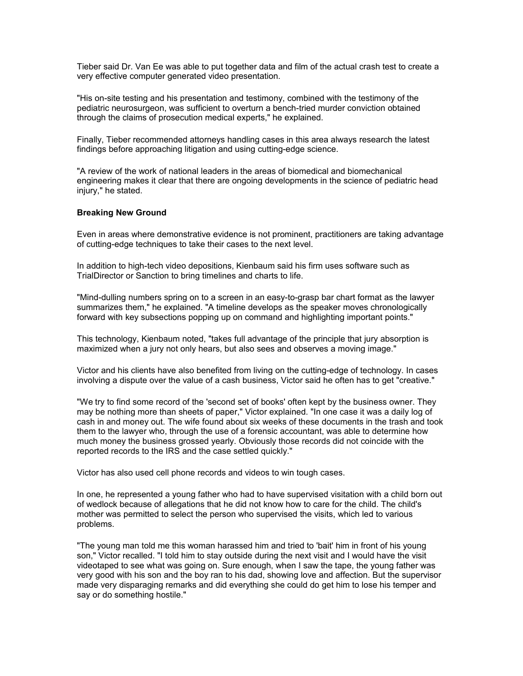Tieber said Dr. Van Ee was able to put together data and film of the actual crash test to create a very effective computer generated video presentation.

"His on-site testing and his presentation and testimony, combined with the testimony of the pediatric neurosurgeon, was sufficient to overturn a bench-tried murder conviction obtained through the claims of prosecution medical experts," he explained.

Finally, Tieber recommended attorneys handling cases in this area always research the latest findings before approaching litigation and using cutting-edge science.

"A review of the work of national leaders in the areas of biomedical and biomechanical engineering makes it clear that there are ongoing developments in the science of pediatric head injury," he stated.

#### **Breaking New Ground**

Even in areas where demonstrative evidence is not prominent, practitioners are taking advantage of cutting-edge techniques to take their cases to the next level.

In addition to high-tech video depositions, Kienbaum said his firm uses software such as TrialDirector or Sanction to bring timelines and charts to life.

"Mind-dulling numbers spring on to a screen in an easy-to-grasp bar chart format as the lawyer summarizes them," he explained. "A timeline develops as the speaker moves chronologically forward with key subsections popping up on command and highlighting important points."

This technology, Kienbaum noted, "takes full advantage of the principle that jury absorption is maximized when a jury not only hears, but also sees and observes a moving image."

Victor and his clients have also benefited from living on the cutting-edge of technology. In cases involving a dispute over the value of a cash business, Victor said he often has to get "creative."

"We try to find some record of the 'second set of books' often kept by the business owner. They may be nothing more than sheets of paper," Victor explained. "In one case it was a daily log of cash in and money out. The wife found about six weeks of these documents in the trash and took them to the lawyer who, through the use of a forensic accountant, was able to determine how much money the business grossed yearly. Obviously those records did not coincide with the reported records to the IRS and the case settled quickly."

Victor has also used cell phone records and videos to win tough cases.

In one, he represented a young father who had to have supervised visitation with a child born out of wedlock because of allegations that he did not know how to care for the child. The child's mother was permitted to select the person who supervised the visits, which led to various problems.

"The young man told me this woman harassed him and tried to 'bait' him in front of his young son," Victor recalled. "I told him to stay outside during the next visit and I would have the visit videotaped to see what was going on. Sure enough, when I saw the tape, the young father was very good with his son and the boy ran to his dad, showing love and affection. But the supervisor made very disparaging remarks and did everything she could do get him to lose his temper and say or do something hostile."